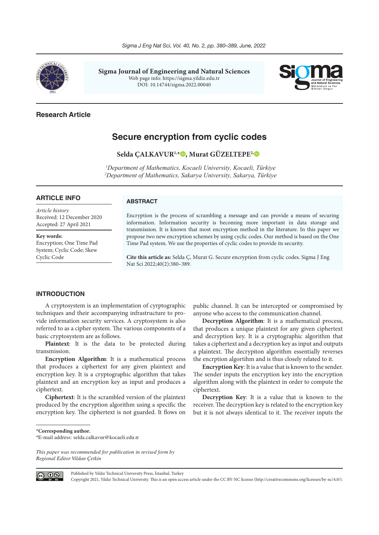

**Sigma Journal of Engineering and Natural Sciences** Web page info: https://sigma.yildiz.edu.tr DOI: 10.14744/sigma.2022.00040



# **Research Article**

# **Secure encryption from cyclic codes**

**Selda ÇALKAVUR1, \* [, M](https://orcid.org/0000-0002-1502-123X)urat GÜZELTEPE[2,](https://orcid.org/0000-0002-2089-5660)**

*<sup>1</sup>Department of Mathematics, Kocaeli University, Kocaeli, Türkiye <sup>2</sup>Department of Mathematics, Sakarya University, Sakarya, Türkiye*

# **ARTICLE INFO**

*Article history* Received: 12 December 2020 Accepted: 27 April 2021

**Key words:** Encryption; One Time Pad System; Cyclic Code; Skew Cyclic Code

### **ABSTRACT**

Encryption is the process of scrambling a message and can provide a means of securing information. Information security is becoming more important in data storage and transmission. It is known that most encryption method in the literature. In this paper we propose two new encryption schemes by using cyclic codes. Our method is based on the One Time Pad system. We use the properties of cyclic codes to provide its security.

**Cite this article as:** Selda Ç, Murat G. Secure encryption from cyclic codes. Sigma J Eng Nat Sci 2022;40(2):380–389.

### **INTRODUCTION**

A cryptosystem is an implementation of cyrptographic techniques and their accompanying infrastructure to provide information security services. A cryptosystem is also referred to as a cipher system. The various components of a basic cryptosystem are as follows.

**Plaintext**: It is the data to be protected during transmission.

**Encryption Algorithm**: It is a mathematical process that produces a ciphertext for any given plaintext and encryption key. It is a cryptographic algorithm that takes plaintext and an encryption key as input and produces a ciphertext.

**Ciphertext**: It is the scrambled version of the plaintext produced by the encryption algorithm using a specific the encryption key. The ciphertext is not guarded. It flows on

public channel. It can be intercepted or compromised by anyone who access to the communication channel.

**Decryption Algorithm**: It is a mathematical process, that produces a unique plaintext for any given ciphertext and decryption key. It is a cryptographic algorithm that takes a ciphertext and a decryption key as input and outputs a plaintext. The decrypiton algorithm essentially reverses the encrption algortihm and is thus closely related to it.

**Encryption Key**: It is a value that is known to the sender. The sender inputs the encryption key into the encryption algorithm along with the plaintext in order to compute the ciphertext.

**Decryption Key**: It is a value that is known to the receiver. The decryption key is related to the encryption key but it is not always identical to it. The receiver inputs the

*This paper was recommended for publication in revised form by Regional Editor Vildan Çetkin*



Published by Yıldız Technical University Press, İstanbul, Turkey

Copyright 2021, Yıldız Technical University. This is an open access article under the CC BY-NC license (http://creativecommons.org/licenses/by-nc/4.0/).

**<sup>\*</sup>Corresponding author.**

**<sup>\*</sup>**E-mail address: selda.calkavur@kocaeli.edu.tr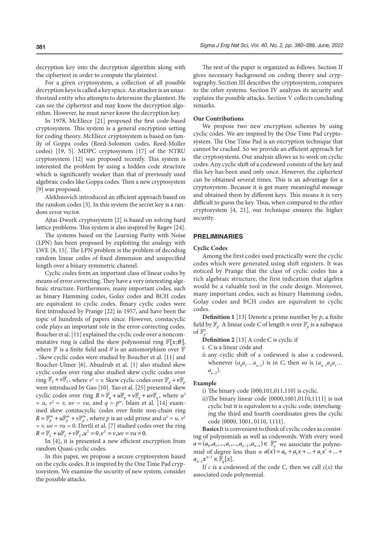decryption key into the decryption algorithm along with the ciphertext in order to compute the plaintext.

For a given cryptosystem, a collection of all possible decryption keys is called a key space. An attacker is an unauthorized entity who attempts to determine the plaintext. He can see the ciphertext and may know the decryption algorithm. However, he must never know the decryption key.

In 1978, McEliece [21] proposed the first code-based cryptosystem. This system is a general encryption setting for coding theory. McEliece cryptosystem is based on family of Goppa codes (Reed-Solomon codes, Reed-Muller codes) [19, 5]. MDPC cryptosystem [17] of the NTRU cryptosystem [12] was proposed recently. This system is interested the problem by using a hidden code structure which is significantly weaker than that of previously used algebraic codes like Goppa codes. Then a new cryptosystem [9] was proposed.

Alekhnovich introduced an efficient approach based on the random codes [3]. In this system the secret key is a random error vector.

Ajtai-Dwork cryptosystem [2] is based on solving hard lattice problems. This system is also inspired by Regev [24].

The systems based on the Learning Parity with Noise (LPN) has been proposed by exploiting the analogy with LWE [8, 15]. The LPN problem is the problem of decoding random linear codes of fixed dimension and unspecified length over a binary symmetric channel.

Cyclic codes form an important class of linear codes by means of error correcting. They have a very interesting algebraic structure. Furthermore, many important codes, such as binary Hamming codes, Golay codes and BCH codes are equivalent to cyclic codes. Binary cyclic codes were first introduced by Prange [22] in 1957, and have been the topic of hundreds of papers since. However, constacyclic code plays an important role in the error-correcting codes. Boucher et al. [11] explained the cyclic code over a noncommutative ring is called the skew polynomial ring  $\mathbb{F}[x;\theta]$ , where  $\mathbb F$  is a finite field and  $\theta$  is an automorphism over  $\mathbb F$ . Skew cyclic codes were studied by Boucher et al. [11] and Boucher-Ulmer [6]. Abualrub et al. [1] also studied skew cyclic codes over ring also studied skew cyclic codes over ring  $\mathbb{F}_2 + v \mathbb{F}_2$ , where  $v^2 = v$ . Skew cyclic codes over  $\mathbb{F}_p + v \mathbb{F}_p$ were introduced by Gao [10]. Yao et al. [25] presented skew cyclic codes over ring  $R = \mathbb{F}_q + u\mathbb{F}_q + v\mathbb{F}_q + uv\mathbb{F}_q$ , where  $u^2$  $= u, v^2 = v, uv = vu, \text{ and } q = p^m. \text{ Islam et al. [14] exam$ ined skew constacyclic codes over finite non-chain ring  $R = \mathbb{F}_{p}^{m} + u \mathbb{F}_{p}^{m} + v \mathbb{F}_{p}^{m}$ , where *p* is an odd prime and  $u^{2} = u$ ,  $v^{2}$  $= v$ ,  $uv = vu = 0$ . Dertli et al. [7] studied codes over the ring  $R = \mathbb{F}_2 + u \mathbb{F}_2 + v \mathbb{F}_2, u^2 = 0, v^2 = v, uv = vu = 0.$ 

In [4], it is presented a new efficient encryption from random Quasi-cyclic codes.

In this paper, we propose a secure cryptosystem based *i* on the cyclic codes. It is inspired by the One Time Pad cryp- $\alpha_{n-1}$ tosystem. We examine the security of new system, consider the possible attacks. *a*  $a_{n-1}x^{n-1} \in \mathbb{F}_q[x]$ .<br> *d* by the One Time Red gryp

The rest of the paper is organized as follows. Section II gives necessary background on coding theory and cryptography. Section III describes the cryptosystem, compares to the other systems. Section IV analyzes its security and explains the possible attacks. Section V collects concluding remarks.

# **Our Contributions**

We propose two new encryption schemes by using cyclic codes. We are inspired by the One Time Pad cryptosystem. The One Time Pad is an encryption technique that cannot be cracked. So we provide an efficient approach for the cryptosystems. Our analysis allows us to work on cyclic codes. Any cyclic shift of a codeword consists of the key and this key has been used only once. However, the ciphertext can be obtained several times. This is an advantage for a cryptosystem. Because it is got many meaningful message and obtained them by different keys. This means it is very difficult to guess the key. Thus, when compared to the other cryptosystem [4, 21], our technique ensures the higher security.

### **PRELIMINARIES**

# **Cyclic Codes**

Among the first codes used practically were the cyclic codes which were generated using shift registers. It was noticed by Prange that the class of cyclic codes has a rich algebraic structure, the first indication that algebra would be a valuable tool in the code design. Moreover, many important codes, such as binary Hamming codes, Golay codes and BCH codes are equivalent to cyclic codes.

**Definition 1** [13] Denote a prime number by *p*, a finite field by  $\mathbb{F}_p$ . A linear code *C* of length *n* over  $\mathbb{F}_p$  is a subspace of  $\mathbb{F}_p^n$ .

- **Definition 2** [13] A code C is cyclic if
- i. *C* is a linear code and
- ii. any cyclic shift of a codeword is also a codeword, whenever  $(a_0 a_1 ... a_{n-1})$  is in *C*, then so is  $(a_{n-1} a_0 a_1 ... a_n)$ *a*<sub>*n*−2</sub>).

# **Example**

- i) The binary code {000,101,011,110} is cyclic.
- ii)The binary linear code {0000,1001,0110,1111} is not cyclic but it is equivalent to a cyclic code; interchanging the third and fourth coordinates gives the cyclic code {0000, 1001, 0110, 1111}.

**Basics** It is convenient to think of cyclic codes as consisting of polynomials as well as codewords. With every word  $a = (a_0, a_1, ..., a_i, ..., a_{n-2}, a_{n-1}) \in \mathbb{F}_q^n$  we associate the polynomial of degree less than *n*  $a(x) = a_0 + a_1x + ... + a_ix^i + ...$ 

If  $c$  is a codeword of the code  $C$ , then we call  $c(x)$  the associated code polynomial.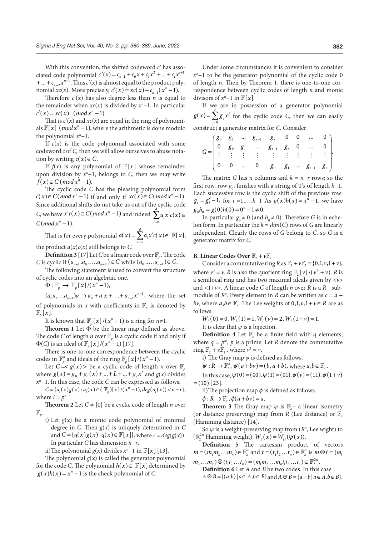With this convention, the shifted codeword *c'* has associated code polynomial  $c'(x) = c_{n-1} + c_0 x + c_1 x^2 + ... + c_i x^{i+1}$   $x^n - 1$  to be  $+ ... + c_{n-2}x^{n-1}$ . Thus *c*'(*x*) is almost equal to the product polynomial  $xc(x)$ . More precisely,  $c'(x) = xc(x) - c_{n-1}(x^n - 1)$ .

> Therefore  $c'(x)$  has also degree less than *n* is equal to the remainder when  $xc(x)$  is divided by  $x^n-1$ . In particular  $c'(x) = xc(x)$  (*mod*  $x^n - 1$ ).

> That is  $c'(x)$  and  $xc(x)$  are equal in the ring of polynomials  $\mathbb{F}[x]$  (*mod*  $x^n - 1$ ), where the arithmetic is done modulo the polynomial  $x<sup>n</sup>−1$ .

> If  $c(x)$  is the code polynomial associated with some codeword *c* of *C,* then we will allow ourselves to abuse notation by writing  $c(x) \in C$ .

> If  $f(x)$  is any polynomial of  $\mathbb{F}[x]$  whose remainder, upon division by *xn* −1, belongs to *C*, then we may write *f*(*x*)∈ *C* (*mod*  $x<sup>n</sup>$  –1).

The cyclic code *C* has the pleasing polynomial form *c*(*x*)∈ *C*(*mod x<sup>n</sup>* −1) if and only if *xc*(*x*)∈ *C*(*mod x<sup>n</sup>* −1). Since additional shifts do not take us out of the cyclic code *C*, we have  $x^i c(x) \in C \pmod{x^n - 1}$  and indeed  $\sum_{i=0} a_i x^i c(x) \in \begin{cases} \n\text{for } i \text{ and } i \text{ and } i \text{ and } i \text{ are } i \text{ and } i \text{ and } i \text{ are } i \text{ and } i \text{ and } i \text{ are } i \text{ and } i \text{ are } i \text{ and } i \text{ and } i \text{ are } i \text{ and } i \text{ are } i \text{ and } i \text{ are } i \text{ and } i \text{ are } i \text{ and } i \text{ are } i \text{ and } i \$  $\sum_{i=1}^d x^i c(x) = g_0 h_0 =$  $\sum_{i=0} a_i x^i c(x) \in \int_{\ln \text{pa}}^{\infty} \int_{\ln \text{pa}}^{\infty}$  $C(mod x<sup>n</sup> - 1).$ 

That is for every polynomial  $a(x) = \sum_{i=0} a_i x^i c(x) \in \mathbb{F}[x]$  $d(x) = \sum_{i=1}^{d} a_i x^{i} c(x) \in \mathbb{F}[x],$  $\sum_{i=0} a_i x^i c(x) \in \mathbb{F}$ the product  $a(x)c(x)$  still belongs to *C*.

**Definition 3** [17] Let *C* be a linear code over  $\mathbb{F}_{\alpha}$ . The code *C* is cyclic if  $(a_{n-1}, a_0, \ldots, a_{n-2}) \in C$  while  $(a_0, \ldots, a_{n-1}) \in C$ .

The following statement is used to convert the structure of cyclic codes into an algebraic one.

 $\Phi: \mathbb{F}_p^n \to \mathbb{F}_p[x]/(x^n-1),$ 

 $(a_0 a_1 ... a_{n-1}) a \rightarrow a_0 + a_1 x + ... + a_{n-1} x^{n-1}$ , where the set of polynomials in *x* with coefficients in  $\mathbb{F}_p$  is denoted by  $\mathbb{F}_{p}[x]$ .

It is known that  $\mathbb{F}_p[x]/(x^n-1)$  is a ring for  $n\neq 1$ .

**Theorem 1** Let Ф be the linear map defined as above. The code *C* of length *n* over  $\mathbb{F}_p$  is a cyclic code if and only if  $\Phi(C)$  is an ideal of  $\mathbb{F}_p[x]/(x^{n^2}-1)$  [17].

There is one-to-one correspondence between the cyclic codes in  $\mathbb{F}_p^n$  and ideals of the ring  $\mathbb{F}_p[x]/(x^n-1)$ .

 $x^n-1$ . In this case, the code *C* can be expressed as follows.  $= (10) [23]$ . Let  $C = \langle g(x) \rangle$  be a cyclic code of length *n* over  $\mathbb{F}_n$ where  $g(x) = g_0 + g_1(x) + ... + L + ... + g_r x^r$  and  $g(x)$  divides

 $C = \{a_i(x)g(x) : a_i(x) \in (\mathbb{F}_p)[x]/(x^n-1), deg(a_i(x)) < n-r\},\$ where  $i = p^{n-i}$ 

**Theorem 2** Let  $C \neq \{0\}$  be a cyclic code of length *n* over  $\mathbb{F}_p$ .

i) Let  $g(x)$  be a monic code polynomial of minimal degree in *C*. Then  $g(x)$  is uniquely determined in *C* and  $C = \{q(x)g(x) | q(x) \in \mathbb{F}[x]\}$ , where  $r = deg(g(x))$ . In particular *C* has dimension *n*−*r*.

ii)The polynomial  $g(x)$  divides  $x^n$ −1 in  $\mathbb{F}[x]$  [13].

The polynomial  $g(x)$  is called the generator polynomial for the code *C*. The polynomial  $h(x) \in \mathbb{F}[x]$  determined by  $g(x)h(x) = x^{n} - 1$  is the check polynomial of *C*.

Under some circumstances it is convenient to consider *x<sup>n</sup>*−1 to be the generator polynomial of the cyclic code 0 of length *n*. Then by Theorem 1, there is one-to-one correspondence between cyclic codes of length *n* and monic divisors of  $x^n-1$  in  $\mathbb{F}[x]$ .

If we are in possession of a generator polynomial  $g(x) = \sum_{j=0} g_j x_j$  $f(x) = \sum_{i=1}^{r} g_i x^j$  $\sum_{j=0}$   $g_j x^j$  for the cyclic code *C*, then we can easily construct a generator matrix for *C*. Consider

$$
G = \begin{pmatrix} g_0 & g_1 & \dots & g_{r-1} & g_r & 0 & 0 & \dots & 0 \\ 0 & g_0 & g_1 & \dots & g_{r-1} & g_r & 0 & \dots & 0 \\ \vdots & \vdots & \vdots & \vdots & \vdots & \vdots & \vdots & \vdots & \vdots \\ 0 & 0 & \dots & 0 & g_0 & g_1 & \dots & g_{r-1} & g_r \end{pmatrix}.
$$

The matrix *G* has *n* columns and  $k = n-r$  rows; so the first row, row  $g_0$ , finishes with a string of 0's of length  $k-1$ *.* Each successive row is the cyclic shift of the previous row:  $g_i = g'_i - 1$ , for  $i = 1,...,k-1$  As  $g(x)h(x) = x^n - 1$ , we have  $g_0 h_0 = g(0)h(0) = 0^n - 1 \neq 0.$ 

 $f(x) \in$  In particular  $g_0 \neq 0$  (and  $h_0 \neq 0$ ). Therefore *G* is in echelon form. In particular the  $k = dim(C)$  rows of *G* are linearly independent. Clearly the rows of *G* belong to *C,* so *G* is a generator matrix for *C.*

# **B. Linear Codes Over**  $\mathbb{F}_2 + \nu \mathbb{F}_2$

Consider a commutative ring *R* as  $\mathbb{F}_2 + v\mathbb{F}_2 = \{0, 1, v, 1 + v\},\$ where  $v^2 = v$ . *R* is also the quotient ring  $\mathbb{F}_2[v]/(v^2 + v)$ . *R* is a semilocal ring and has two maximal ideals given by <*v*> and <1+*v*>. A linear code *C* of length *n* over *R* is a *R*− submodule of  $R<sup>n</sup>$ . Every element in  $R$  can be written as  $c = a +$ *bv*, where  $a, b \in \mathbb{F}$ . The Lee weights of  $0, 1, v, 1 + v \in R$  are as follows.

 $W_l(0) = 0$ ,  $W_l(1) = 1$ ,  $W_l(\nu) = 2$ ,  $W_l(1 + \nu) = 1$ .

It is clear that  $\psi$  is a bijection.

**Definition 4** Let  $\mathbb{F}_q$  be a finite field with *q* elements, where  $q = p^m$ ,  $p$  is a prime. Let *R* denote the commutative ring  $\mathbb{F}_2 + v \mathbb{F}_2$ , where  $v^2 = v$ .

i) The Gray map *ψ* is defined as follows.

 $\psi: R \to \mathbb{F}_2^2$ ,  $\psi(a+bv) = (b, a+b)$ , where  $a, b \in \mathbb{F}_2$ .

In this case, 
$$
\psi(0) = (00), \psi(1) = (01), \psi(\nu) = (11), \psi(1+\nu)
$$
  
(10) [23].

ii)The projection map  $\phi$  is defined as follows.

 $\phi: R \to \mathbb{F}$ ,  $\phi(a + bv) = a$ .

**Theorem 3** The Gray map  $\psi$  is  $\mathbb{F}_2$  – a linear isometry (or distance preserving) map from *R* (Lee distance) or  $\mathbb{F}_2$ (Hamming distance) [14].

So  $\psi$  is a weight-preserving map from ( $R<sup>n</sup>$ , Lee wight) to  $(\mathbb{F}_2^{2n}$  Hamming weight),  $W_L(x) = W_H(\psi(x))$ .

**Definition 5** The cartesian product of vectors  $m = (m_1 m_2 ... m_n) \in \mathbb{F}_2^n$  and  $t = (t_1 t_2 ... t_n) \in \mathbb{F}_2^n$  is  $m \otimes t = (m_1$ 

 $m_1$   $m_2$   $\ldots$   $m_n$ )  $\otimes$  ( $t_1 t_2$   $\ldots$   $t_n$ ) = ( $m_1 m_2$   $\ldots$   $m_n t_1 t_2$   $\ldots$   $t_n$ )  $\in \mathbb{F}_2^{2^n}$ .

**Definition 6** Let *A* and *B* be two codes. In this case  $A \otimes B = \{(a,b) \mid a \in A, b \in B\}$  and  $A \oplus B = \{a+b \mid a \in A, b \in B\}$ .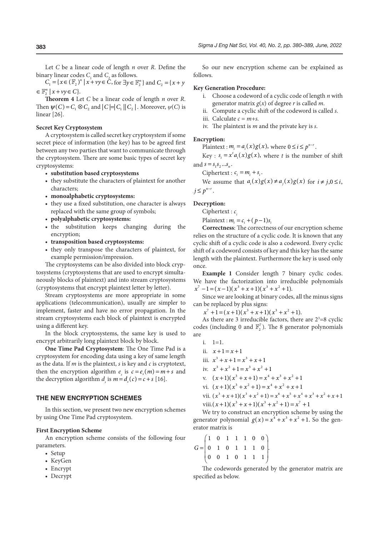Let *C* be a linear code of length *n* over *R.* Define the binary linear codes  $C_1$  and  $C_2$  as follows.

 $C_1 = \{x \in (\mathbb{F}_2)^n \mid x + vy \in \mathbb{C}, \text{ for } \exists y \in \mathbb{F}_2^n\} \text{ and } C_2 = \{x + y\}$  $\in \mathbb{F}_2^n \mid x + vy \in C$ .

> **Theorem 4** Let *C* be a linear code of length *n* over *R*. Then  $\psi(C) = C_1 \otimes C_2$  and  $|C| = |C_1||C_2|$ . Moreover,  $\psi(C)$  is linear [26].

## **Secret Key Cryptosystem**

A cryptosystem is called secret key cryptosystem if some secret piece of information (the key) has to be agreed first between any two parties that want to communicate through the cryptosystem. There are some basic types of secret key cryptosystems:

- **substitution based cryptosystems**
- they substitute the characters of plaintext for another characters;
- **monoalphabetic cryptosystems:**
- they use a fixed substitution, one character is always replaced with the same group of symbols;
- **polyalphabetic cryptosystems:**
- the substitution keeps changing during the encryption;
- **transposition based cryptosystems:**
- they only transpose the characters of plaintext, for example permission/impression.

The cryptosystems can be also divided into block cryptosystems (cryptosystems that are used to encrypt simultaneously blocks of plaintext) and into stream cryptosystems (cryptosystems that encrypt plaintext letter by letter).

Stream cryptosystems are more appropriate in some applications (telecommunication), usually are simpler to implement, faster and have no error propagation. In the stream cryptosystems each block of plaintext is encrypted using a different key.

In the block cryptosystems, the same key is used to encrypt arbitrarily long plaintext block by block.

**One Time Pad Cryptosystem**: The One Time Pad is a cryptosystem for encoding data using a key of same length as the data. If *m* is the plaintext, *s* is key and *c* is cryptotext, then the encryption algorithm  $e_s$  is  $c = e_s(m) = m + s$  and the decryption algorithm  $d_s$  is  $m = d_s(c) = c + s$  [16].

### **THE NEW ENCRYPTION SCHEMES**

In this section, we present two new encryption schemes by using One Time Pad cryptosystem.

## **First Encryption Scheme**

An encryption scheme consists of the following four parameters.

- Setup
- KeyGen
- Encrypt
- Decrypt

So our new encryption scheme can be explained as follows.

### **Key Generation Procedure:**

- i. Choose a codeword of a cyclic code of length *n* with generator matrix *g*(*x*) of degree *r* is called *m*.
- ii. Compute a cyclic shift of the codeword is called *s*.
- iii. Calculate  $c = m+s$ .
- iv. The plaintext is *m* and the private key is *s*.

#### **Encryption:**

Plaintext :  $m_i = a_i(x)g(x)$ , where  $0 \le i \le p^{n-r}$ .

Key :  $s_i = x^t a_i(x) g(x)$ , where *t* is the number of shift and  $s = s_1 s_2 ... s_n$ .

Ciphertext :  $c_i = m_i + s_i$ .

We assume that  $a_i(x)g(x) \neq a_i(x)g(x)$  for  $i \neq j, 0 \leq i$ ,  $j \leq p^{n-r}$ .

# **Decryption:**

Ciphertext :  $c_i$ 

 $P$ laintext : *m<sub>i</sub>* =  $c_i + (p-1)s_i$ 

**Correctness**: The correctness of our encryption scheme relies on the structure of a cyclic code. It is known that any cyclic shift of a cyclic code is also a codeword. Every cyclic shift of a codeword consists of key and this key has the same length with the plaintext. Furthermore the key is used only once.

**Example 1** Consider length 7 binary cyclic codes. We have the factorization into irreducible polynomials  $x^{7} - 1 = (x - 1)(x^{3} + x + 1)(x^{3} + x^{2} + 1).$ 

Since we are looking at binary codes, all the minus signs can be replaced by plus signs:

 $x^{7} + 1 = (x + 1)(x^{3} + x + 1)(x^{3} + x^{2} + 1).$ 

As there are 3 irreducible factors, there are  $2<sup>3</sup>=8$  cyclic codes (including 0 and  $\mathbb{F}_2^7$ ). The 8 generator polynomials are

$$
i. \quad 1=1.
$$

ii.  $x + 1 = x + 1$ iii.  $x^3 + x + 1 = x^3 + x + 1$ iv.  $x^3 + x^2 + 1 = x^3 + x^2 + 1$ 

v.  $(x+1)(x^3 + x + 1) = x^4 + x^3 + x^2 + 1$ 

- vi.  $(x+1)(x^3 + x^2 + 1) = x^4 + x^2 + x + 1$
- vii.  $(x^3 + x + 1)(x^3 + x^2 + 1) = x^6 + x^5 + x^4 + x^3 + x^2 + x + 1$ viii. $(x+1)(x^3 + x + 1)(x^3 + x^2 + 1) = x^7 + 1$

We try to construct an encryption scheme by using the generator polynomial  $g(x) = x^4 + x^3 + x^2 + 1$ . So the generator matrix is

| $G = \begin{pmatrix} 1 & 0 & 1 & 1 & 1 & 0 & 0 \\ 0 & 1 & 0 & 1 & 1 & 1 & 0 \\ 0 & 0 & 1 & 0 & 1 & 1 & 1 \end{pmatrix}.$ |  |  |  |  |
|--------------------------------------------------------------------------------------------------------------------------|--|--|--|--|

The codewords generated by the generator matrix are specified as below.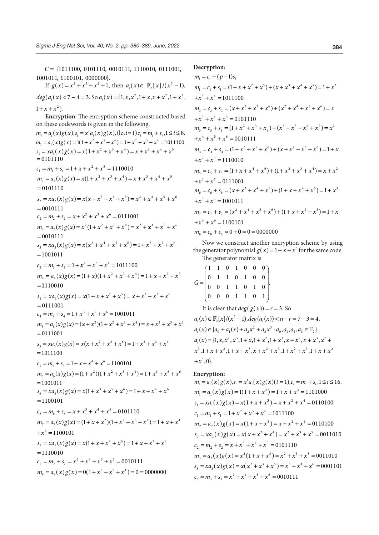$C = \{1011100, 0101110, 0010111, 1110010, 0111001, \}$ 1001011, 1100101, 00000000}. If  $g(x) = x^4 + x^3 + x^2 + 1$ , then  $a_i(x) \in \mathbb{F}_{2}[x]/(x^7 - 1)$ ,  $deg(a_{i}(x) < 7 - 4 = 3.$  So  $a_{i}(x) = \{1, x, x^{2}, 1 + x, x + x^{2}, 1 + x^{2}, \ldots \}$  $1 + x + x^2$ . **Encryption**: The encryption scheme constructed based on these codewords is given in the following.  $m_i = a_i(x)g(x), s_i = x^t a_i(x)g(x),$  (let  $t = 1)c_i = m_i + s_i,$   $1 \le i \le 8$ .  $m_1 = a_1(x)g(x) = 1(1 + x^2 + x^3 + x^4) = 1 + x^2 + x^3 + x^4 = 1011100$  $s_1 = xa_1(x)g(x) = x(1 + x^2 + x^3 + x^4) = x + x^3 + x^4 + x^5$   $m_4$  $= 0101110$  $c_1 = m_1 + s_1 = 1 + x + x^2 + x^5 = 1110010$  $m_2 = a_2(x)g(x) = x(1 + x^2 + x^3 + x^4) = x + x^3 + x^4 + x^5$  $s_2 = xa_2(x)g(x) = x(x + x^3 + x^4 + x^5) = x^2 + x^4 + x^5 + x^6$  $= 0101110$ = 0010111  $c_2 = m_2 + s_2 = x + x^2 + x^3 + x^6 = 0111001$  $m_3 = a_3(x)g(x) = x^2(1 + x^2 + x^3 + x^4) = x^2 + x^4 + x^5 + x^6$  $= 0010111$  $s_3 = xa_3(x)g(x) = x(x^2 + x^4 + x^5 + x^6) = 1 + x^3 + x^5 + x^6$  $c_3 = m_3 + s_3 = 1 + x^2 + x^3 + x^4 = 1011100$  $=1001011$  $m_4 = a_4(x)g(x) = (1+x)(1+x^2+x^3+x^4) = 1+x+x^2+x^5$ = 1110010  $s_4 = xa_4(x)g(x) = x(1 + x + x^2 + x^5) = x + x^2 + x^3 + x^6$  $= 0111001$  $c_4 = m_4 + s_4 = 1 + x^3 + x^5 + x^6 = 1001011$  $m_5 = a_5(x)g(x) = (x + x^2)(1 + x^2 + x^3 + x^4) = x + x^2 + x^3 + x^6$ = 0111001  $s_5 = xa_5(x)g(x) = x(x + x^2 + x^3 + x^6) = 1 + x^2 + x^3 + x^4$ = 1011100  $c_5 = m_5 + s_5 = 1 + x + x^4 + x^6 = 1100101$  $m_6 = a_6(x)g(x) = (1 + x^2)(1 + x^2 + x^3 + x^4) = 1 + x^3 + x^5 + x^6$  $=1001011$  $s_6 = xa_6(x)g(x) = x(1 + x^3 + x^5 + x^6) = 1 + x + x^4 + x^6$  $c_6 = m_6 + s_6 = x + x^3 + x^4 + x^5 = 0101110$  $=1100101$  $m_7 = a_7(x)g(x) = (1 + x + x^2)(1 + x^2 + x^3 + x^4) = 1 + x + x^4$  $+x^6 = 1100101$  $s_7 = xa_7(x)g(x) = x(1 + x + x^4 + x^6) = 1 + x + x^2 + x^5$ = 1110010  $c_7 = m_7 + s_7 = x^2 + x^4 + x^5 + x^6 = 00101111$  $m_s = a_s(x)g(x) = 0(1 + x^2 + x^3 + x^4) = 0 = 0000000$ 

# **Decryption:**

$$
m_i = c_i + (p-1)s_i
$$
  
\n
$$
m_1 = c_1 + s_1 = (1 + x + x^2 + x^5) + (x + x^3 + x^4 + x^5) = 1 + x^2
$$
  
\n
$$
+x^3 + x^4 = 1011100
$$
  
\n
$$
m_2 = c_2 + s_2 = (x + x^2 + x^3 + x^6) + (x^2 + x^4 + x^5 + x^6) = x
$$
  
\n
$$
+x^3 + x^4 + x^5 = 0101110
$$
  
\n
$$
m_3 = c_3 + s_3 = (1 + x^2 + x^3 + x_4) + (x^3 + x^5 + x^6 + x^7) = x^2
$$
  
\n
$$
+x^4 + x^5 + x^6 = 0010111
$$
  
\n
$$
m_4 = c_4 + s_4 = (1 + x^3 + x^5 + x^6) + (x + x^2 + x^3 + x^6) = 1 + x
$$
  
\n
$$
+x^2 + x^5 = 1110010
$$
  
\n
$$
m_5 = c_5 + s_5 = (1 + x + x^4 + x^6) + (1 + x^2 + x^3 + x^4) = x + x^2
$$
  
\n
$$
+x^3 + x^6 = 0111001
$$
  
\n
$$
m_6 = c_6 + s_6 = (x + x^3 + x^4 + x^5) + (1 + x + x^4 + x^6) = 1 + x^3
$$
  
\n
$$
+x^5 + x^6 = 1001011
$$
  
\n
$$
m_7 = c_7 + s_7 = (x^2 + x^4 + x^5 + x^6) + (1 + x + x^2 + x^5) = 1 + x
$$
  
\n
$$
+x^4 + x^6 = 1100101
$$
  
\n
$$
m_8 = c_8 + s_8 = 0 + 0 = 0 = 0000000
$$
  
\nNow we construct another approximation shown by using

Now we construct another encryption scheme by using the generator polynomial  $g(x) = 1 + x + x^3$  for the same code. The generator matrix is

$$
G = \begin{pmatrix} 1 & 1 & 0 & 1 & 0 & 0 & 0 \\ 0 & 1 & 1 & 0 & 1 & 0 & 0 \\ 0 & 0 & 1 & 1 & 0 & 1 & 0 \\ 0 & 0 & 0 & 1 & 1 & 0 & 1 \end{pmatrix}.
$$

It is clear that  $deg(g(x)) = r = 3$ . So  $a_i(x) \in \mathbb{F}_2[x]/(x^7 - 1), deg(a_i(x)) < n - r = 7 - 3 = 4.$  $a_i(x) \in \{a_0 + a_1(x) + a_2x^2 + a_3x^3 : a_0, a_1, a_2, a_3 \in \mathbb{F}_2\}.$  $a_i(x) = \{1, x, x^2, x^3, 1 + x, 1 + x^2, 1 + x^3, x + x^2, x + x^3, x^2 + x^4, x^3 + x^4, x^2 + x^3 + x^4\}$  $x^3$ ,  $1 + x + x^2$ ,  $1 + x + x^3$ ,  $x + x^2 + x^3$ ,  $1 + x^2 + x^3$ ,  $1 + x + x^2$  $+x^3,0$ .

# **Encryption:**

 $m_i = a_i(x)g(x), s_i = x^ta_i(x)g(x)(t=1), c_i = m_i + s_i, 1 \le i \le 16.$  $m_1 = a_1(x)g(x) = 1(1 + x + x^3) = 1 + x + x^3 = 1101000$  $s_1 = xa_1(x)g(x) = x(1 + x + x^3) = x + x^2 + x^4 = 0110100$  $c_1 = m_1 + s_1 = 1 + x^2 + x^3 + x^4 = 1011100$  $m_2 = a_2(x)g(x) = x(1 + x + x^3) = x + x^2 + x^4 = 0110100$  $s_2 = xa_2(x)g(x) = x(x + x^2 + x^4) = x^2 + x^3 + x^5 = 0011010$  $c_2 = m_2 + s_2 = x + x^3 + x^4 + x^5 = 0101110$  $m_3 = a_3(x)g(x) = x^2(1+x+x^3) = x^2+x^3+x^5 = 0011010$  $s_3 = xa_3(x)g(x) = x(x^2 + x^3 + x^5) = x^3 + x^4 + x^6 = 0001101$  $c_3 = m_3 + s_3 = x^2 + x^4 + x^5 + x^6 = 00101111$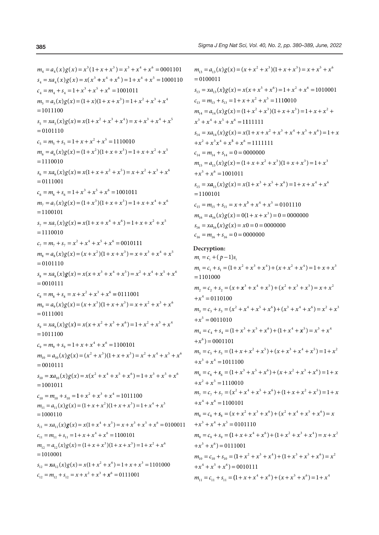$m_4 = a_4(x)g(x) = x^3(1+x+x^3) = x^3 + x^4 + x^6 = 0001101$  $s_4 = xa_4(x)g(x) = x(x^3 + x^4 + x^6) = 1 + x^4 + x^5 = 1000110$  $c_4 = m_4 + s_4 = 1 + x^3 + x^5 + x^6 = 1001011$  $m_5 = a_5(x)g(x) = (1+x)(1+x+x^3) = 1+x^2+x^3+x^4$  $s_5 = xa_5(x)g(x) = x(1 + x^2 + x^3 + x^4) = x + x^3 + x^4 + x^5$  $= 1011100$ = 0101110  $c_5 = m_5 + s_5 = 1 + x + x^2 + x^5 = 1110010$  $m_6 = a_6(x)g(x) = (1 + x^2)(1 + x + x^3) = 1 + x + x^2 + x^5$  $s_6 = xa_6(x)g(x) = x(1 + x + x^2 + x^5) = x + x^2 + x^3 + x^6$  $= 1110010$ = 0111001  $c_6 = m_6 + s_6 = 1 + x^3 + x^5 + x^6 = 1001011$  $m_7 = a_7(x)g(x) = (1 + x^3)(1 + x + x^3) = 1 + x + x^4 + x^6$  $s_7 = xa_7(x)g(x) = x(1 + x + x^4 + x^6) = 1 + x + x^2 + x^5$  $=1100101$ = 1110010  $c_7 = m_7 + s_7 = x^2 + x^4 + x^5 + x^6 = 00101111$  $m_s = a_s(x)g(x) = (x + x^2)(1 + x + x^3) = x + x^3 + x^4 + x^5$  $= 0101110$  $s_8 = xa_8(x)g(x) = x(x + x^3 + x^4 + x^5) = x^2 + x^4 + x^5 + x^6$  $c_8 = m_8 + s_8 = x + x^2 + x^3 + x^6 = 0111001$ = 0010111  $m_9 = a_9(x)g(x) = (x + x^3)(1 + x + x^3) = x + x^2 + x^3 + x^6$  $s_9 = xa_9(x)g(x) = x(x + x^2 + x^3 + x^6) = 1 + x^2 + x^3 + x^4$  $= 0111001$ = 1011100  $c_9 = m_9 + s_9 = 1 + x + x^4 + x^6 = 1100101$  $m_{10} = a_{10}(x)g(x) = (x^2 + x^3)(1 + x + x^3) = x^2 + x^4 + x^5 + x^6$  $= 0010111$  $s_{10} = xa_{10}(x)g(x) = x(x^2 + x^4 + x^5 + x^6) = 1 + x^3 + x^5 + x^6$  $c_{10} = m_{10} + s_{10} = 1 + x^2 + x^3 + x^4 = 1011100$  $= 1001011$  $m_{11} = a_{11}(x)g(x) = (1 + x + x^2)(1 + x + x^3) = 1 + x^4 + x^5$  $s_{11} = xa_{11}(x)g(x) = x(1 + x^4 + x^5) = x + x^3 + x^5 + x^6 = 0100011$  $=1000110$  $c_{11} = m_{11} + s_{11} = 1 + x + x^4 + x^6 = 1100101$  $m_{12} = a_{12}(x)g(x) = (1 + x + x^3)(1 + x + x^3) = 1 + x^2 + x^6$  $= 1010001$  $s_{12} = xa_{12}(x)g(x) = x(1 + x^2 + x^6) = 1 + x + x^3 = 1101000$  $c_{12} = m_{12} + s_{12} = x + x^2 + x^3 + x^6 = 0111001$ 

 $m_{13} = a_{13}(x)g(x) = (x + x^2 + x^3)(1 + x + x^3) = x + x^5 + x^6$  $s_{13} = xa_{13}(x)g(x) = x(x + x^5 + x^6) = 1 + x^2 + x^6 = 1010001$  $= 0100011$  $c_{13} = m_{13} + s_{13} = 1 + x + x^2 + x^5 = 1110010$  $m_{14} = a_{14}(x)g(x) = (1 + x^2 + x^3)(1 + x + x^3) = 1 + x + x^2 + x^3$  $x^3 + x^4 + x^5 + x^6 = 11111111$  $s_{14} = xa_{14}(x)g(x) = x(1 + x + x^2 + x^3 + x^4 + x^5 + x^6) = 1 + x$  $+x^2 + x^3x^4 + x^5 + x^6 = 11111111$  $c_{14} = m_{14} + s_{14} = 0 = 0000000$  $m_{15} = a_{15}(x)g(x) = (1 + x + x^2 + x^3)(1 + x + x^3) = 1 + x^3$  $+x^5 + x^6 = 1001011$  $s_{15} = xa_{15}(x)g(x) = x(1 + x^3 + x^5 + x^6) = 1 + x + x^4 + x^6$  $c_{15} = m_{15} + s_{15} = x + x^3 + x^4 + x^5 = 0101110$  $= 1100101$  $m_{16} = a_{16}(x)g(x) = 0(1 + x + x^3) = 0 = 0000000$  $s_{16} = xa_{16}(x)g(x) = x0 = 0 = 0000000$  $c_{16} = m_{16} + s_{16} = 0 = 0000000$ 

# **Decryption:**  $m_i = c_i + (p-1)s_i$  $m_1 = c_1 + s_1 = (1 + x^2 + x^3 + x^4) + (x + x^2 + x^4) = 1 + x + x^3$  $m_2 = c_2 + s_2 = (x + x^3 + x^4 + x^5) + (x^2 + x^3 + x^5) = x + x^2$  $=1101000$  $+x^4 = 0110100$  $m_3 = c_3 + s_3 = (x^2 + x^4 + x^5 + x^6) + (x^3 + x^4 + x^6) = x^2 + x^3$  $m_4 = c_4 + s_4 = (1 + x^3 + x^5 + x^6) + (1 + x^4 + x^5) = x^3 + x^4$  $+x^5 = 0011010$  $+x^6$ ) = 0001101  $m_5 = c_5 + s_5 = (1 + x + x^2 + x^5) + (x + x^3 + x^4 + x^5) = 1 + x^2$  $+x^3 + x^4 = 1011100$  $m_6 = c_6 + s_6 = (1 + x^3 + x^5 + x^6) + (x + x^2 + x^3 + x^6) = 1 + x$  $+x^2 + x^5 = 1110010$  $m_7 = c_7 + s_7 = (x^2 + x^4 + x^5 + x^6) + (1 + x + x^2 + x^5) = 1 + x$  $+x^4 + x^6 = 1100101$  $m_s = c_s + s_s = (x + x^2 + x^3 + x^6) + (x^2 + x^4 + x^5 + x^6) = x$  $+x^3 + x^4 + x^5 = 0101110$  $m_9 = c_9 + s_9 = (1 + x + x^4 + x^6) + (1 + x^2 + x^3 + x^4) = x + x^2$  $+x^3 + x^6 = 0111001$  $m_{10} = c_{10} + s_{10} = (1 + x^2 + x^3 + x^4) + (1 + x^3 + x^5 + x^6) = x^2$  $+x^4 + x^5 + x^6 = 0010111$  $m_{11} = c_{11} + s_{11} = (1 + x + x^4 + x^6) + (x + x^5 + x^6) = 1 + x^4$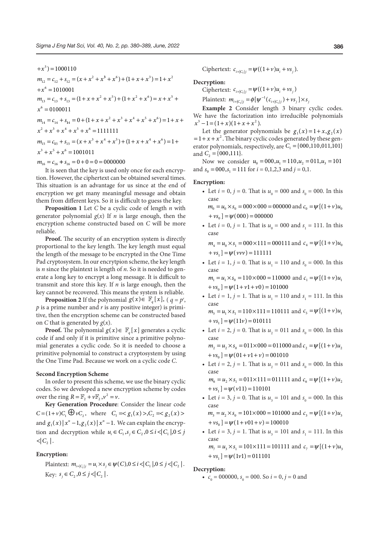$+x^5$ ) = 1000110

 $m_{12} = c_{12} + s_{12} = (x + x^2 + x^3 + x^6) + (1 + x + x^3) = 1 + x^2$  $+x^6 = 1010001$  $m_{13} = c_{13} + s_{13} = (1 + x + x^2 + x^5) + (1 + x^2 + x^6) = x + x^5 +$  $x^6 = 0100011$  $m_{14} = c_{14} + s_{14} = 0 + (1 + x + x^2 + x^3 + x^4 + x^5 + x^6) = 1 + x +$  $x^2 + x^3 + x^4 + x^5 + x^6 = 11111111$  $m_{15} = c_{15} + s_{15} = (x + x^3 + x^4 + x^5) + (1 + x + x^4 + x^6) = 1 + \frac{1 + x + x^6}{2}$  $x^3 + x^5 + x^6 = 1001011$  $m_{16} = c_{16} + s_{16} = 0 + 0 = 0 = 0000000$ 

It is seen that the key is used only once for each encryption. However, the ciphertext can be obtained several times. This situation is an advantage for us since at the end of encryption we get many meaningful message and obtain them from different keys. So it is difficult to guess the key.

**Proposition 1** Let *C* be a cyclic code of length *n* with generator polynomial  $g(x)$  If *n* is large enough, then the  $v s_0$  =  $\psi(000)$  = 000000 encryption scheme constructed based on *C* will be more reliable.

**Proof.** The security of an encryption system is directly proportional to the key length. The key length must equal the length of the message to be encrypted in the One Time Pad cryptosystem. In our encrytpion scheme, the key length is *n* since the plaintext is length of *n*. So it is needed to generate a long key to encrypt a long message. It is difficult to transmit and store this key. If *n* is large enough, then the key cannot be recovered. This means the system is reliable.

**Proposition 2** If the polynomial  $g(x) \in \mathbb{F}_q[x]$ ,  $(q = p^r$ , *p* is a prime number and *r* is any positive integer) is primitive, then the encryption scheme can be constructed based on *C* that is generated by  $g(x)$ .

**Proof.** The polynomial  $g(x) \in \mathbb{F}_q[x]$  generates a cyclic code if and only if it is primitive since a primitive polynomial generates a cyclic code. So it is needed to choose a primitive polynomial to construct a cryptosystem by using the One Time Pad. Because we work on a cyclic code *C*.

### **Second Encryption Scheme**

In order to present this scheme, we use the binary cyclic codes. So we developed a new encryption scheme by codes over the ring  $R = \mathbb{F}, +\nu \mathbb{F}, \nu^2 = \nu$ .

**Key Generation Procedure**: Consider the linear code  $C = (1 + v)C_1 \bigoplus vC_2$ , where  $C_1 = \langle g_1(x) \rangle, C_2 = \langle g_2(x) \rangle$ and  $g_1(x) | x^n - 1, g_2(x) | x^n - 1$ . We can explain the encryption and decryption while  $u_i \in C_1$ ,  $s_i \in C_2$ ,  $0 \le i \le |C_1|$ ,  $0 \le j$  $\langle C_2 |$ .

# **Encryption:**

Plaintext:  $m_{i+|C_i|} = u_i \times s_j \in \psi(C), 0 \le i \le |C_1|, 0 \le j \le |C_2|$ . Key: *s*<sub>*i*</sub> ∈ *C*<sub>2</sub>, 0 ≤ *j* < | *C*<sub>2</sub> | .

Ciphertext:  $c_{i+|C_1|j} = \psi((1+\nu)u_i + vs_j).$ 

### **Decryption:**

Ciphertext:  $c_{i+|C_1|j} = \psi((1+\nu)u_i + \nu s_j)$ 

Plaintext:  $m_{i+|C_1|j} = \phi[\psi^{-1}(c_{i+|C_1|j}) + vs_j] \times s_j$ 

**Example 2** Consider length 3 binary cyclic codes. We have the factorization into irreducible polynomials  $x^3 - 1 = (1 + x)(1 + x + x^2)$ .

Let the generator polynomials be  $g_1(x) = 1 + x$ ,  $g_2(x)$  $= 1 + x + x<sup>2</sup>$ . The binary cyclic codes generated by these generator polynomials, respectively, are  $C_1 = \{000, 110, 011, 101\}$ and  $C_2 = \{000, 111\}.$ 

Now we consider  $u_0 = 000, u_1 = 110, u_2 = 011, u_3 = 101$ and  $s_0 = 000$ ,  $s_1 = 111$  for  $i = 0, 1, 2, 3$  and  $j = 0, 1$ .

#### **Encryption:**

• Let *i* = 0, *j* = 0. That is  $u_0 = 000$  and  $s_0 = 000$ . In this case  $m_0 = u_0 \times s_0 = 0.00 \times 0.000 = 0.000000$  and  $c_0 = \psi \left[ (1 + v) u_0 \right]$ 

$$
+vs_{0}
$$
 =  $\psi(000) = 000000$ 

• Let *i* = 0, *j* = 1. That is  $u_0 = 000$  and  $s_1 = 111$ . In this case

 $m_a = u_0 \times s_1 = 0.00 \times 111 = 0.00111$  and  $c_4 = \psi [(1 + v)u_0]$  $v_{s_1} = \psi(vv) = 1111111$ 

- Let *i* = 1, *j* = 0. That is  $u_1 = 110$  and  $s_0 = 000$ . In this case  $m_1 = u_1 \times s_0 = 110 \times 000 = 110000$  and  $c_1 = \psi \left[ (1 + v)u_1 \right]$  $v_{\rm s} = w(1 + v_1 + v_0) = 101000$
- Let *i* = 1, *j* = 1. That is  $u_1 = 110$  and  $s_1 = 111$ . In this case  $m_5 = u_1 \times s_1 = 110 \times 111 = 110111$  and  $c_5 = \psi[(1 + v)u_1]$  $+v s_1 = \psi(11v) = 010111$
- Let *i* = 2, *j* = 0. That is  $u_2 = 011$  and  $s_0 = 000$ . In this case  $m_1 = u_1 \times s_0 = 011 \times 000 = 011000$  and  $c_2 = \psi[(1+\nu)u_2]$  $v = v s_0$   $v = \psi(01 + v1 + v) = 001010$
- Let *i* = 2, *j* = 1. That is  $u_2 = 011$  and  $s_0 = 000$ . In this case  $m_c = u_2 \times s_1 = 011 \times 111 = 011111$  and  $c_c = \psi [(1 + v)u_2]$
- $+ v s_1 = \psi(v11) = 110101$ • Let *i* = 3, *j* = 0. That is  $u_3 = 101$  and  $s_0 = 000$ . In this

case  $m_3 = u_1 \times s_0 = 101 \times 000 = 101000$  and  $c_3 = \psi \left[ (1 + v) u_3 \right]$  $v_{s_0} = v(1 + v_0 1 + v) = 100010$ 

• Let *i* = 3, *j* = 1. That is  $u_3 = 101$  and  $s_1 = 111$ . In this case  $m_7 = u_3 \times s_1 = 101 \times 111 = 101111$  and  $c_7 = \psi[(1+\nu)u_3]$ 

$$
+ v s_1
$$
 =  $\psi(1v1) = 011101$ 

### **Decryption:**

•  $c_0 = 000000$ ,  $s_0 = 000$ . So  $i = 0$ ,  $j = 0$  and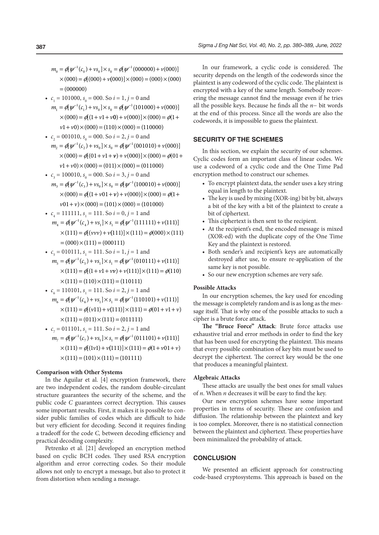- $m_0 = \phi[\psi^{-1}(c_0) + \nu s_0] \times s_0 = \phi[\psi^{-1}(000000) + \nu(000)]$  $\times (000) = \phi[(000) + v(000)] \times (000) = (000) \times (000)$  $= (000000)$
- $c_1 = 101000$ ,  $s_0 = 000$ . So  $i = 1$ ,  $j = 0$  and
- $m_1 = \phi[\psi^{-1}(c_1) + \nu s_0] \times s_0 = \phi[\psi^{-1}(101000) + \nu(000)]$  $\times$  (000) =  $\mathcal{A}(1 + \nu1 + \nu0) + \nu(000) \times (000) = \mathcal{A}(1 + \nu1)$  $v1 + v0 \times (000) = (110) \times (000) = (110000)$
- $c_2 = 001010$ ,  $s_0 = 000$ . So  $i = 2$ ,  $j = 0$  and
- $m_2 = \mathcal{A}[\psi^{-1}(c_2) + \nu s_0] \times s_0 = \mathcal{A}[\psi^{-1}(001010) + \nu(000)]$  $\times$  (000) =  $\phi$ [(01 + *v*1 + *v*) + *v*(000)]  $\times$  (000) =  $\phi$ (01 +  $v1 + v0 \times (000) = (011) \times (000) = (011000)$
- $c_3 = 100010$ ,  $s_0 = 000$ . So  $i = 3$ ,  $j = 0$  and
- $m_3 = \mathcal{A}[\psi^{-1}(c_3) + \nu s_0] \times s_0 = \mathcal{A}[\psi^{-1}(100010) + \nu(000)]$  $\times$  (000) =  $\mathcal{A}$  (1 +  $v$ 01 +  $v$ ) +  $v$  (000)]  $\times$  (000) =  $\mathcal{A}$ (1 +  $v(01 + v) \times (000) = (101) \times (000) = (101000)$
- $c_4 = 111111$ ,  $s_1 = 111$ . So  $i = 0$ ,  $j = 1$  and
- $m_4 = \mathcal{A}[\psi^{-1}(c_4) + \nu s_1] \times s_1 = \mathcal{A}[\psi^{-1}(111111) + \nu(111)]$  $\times$ (111) =  $\mathcal{p}$ (*vvv*) + *v*(111)]  $\times$ (111) =  $\mathcal{p}$ (000)  $\times$ (111)  $=(000)\times(111)=(000111)$
- $c_5 = 010111$ ,  $s_1 = 111$ . So  $i = 1$ ,  $j = 1$  and  $m_5 = \mathcal{A}[\psi^{-1}(c_5) + \nu s_1] \times s_1 = \mathcal{A}[\psi^{-1}(010111) + \nu(111)]$  $\times$ (111) =  $\mathcal{p}[(1 + \nu1 + \nu\nu) + \nu(111)] \times (111) = \mathcal{p}(110)$

$$
\times (111) = (110) \times (111) = (110111)
$$

- $c_6 = 110101$ ,  $s_1 = 111$ . So  $i = 2$ ,  $j = 1$  and
- $m_6 = \mathcal{A}[\psi^{-1}(c_6) + \nu s_1] \times s_1 = \mathcal{A}[\psi^{-1}(110101) + \nu(111)]$  $\times$ (111) =  $\mathcal{p}[(v11) + v(111)] \times (111) = \mathcal{p}(01 + v1 + v)$  $\times (111) = (011) \times (111) = (011111)$
- $c_7 = 011101$ ,  $s_1 = 111$ . So  $i = 2$ ,  $j = 1$  and  $m_7 = \mathcal{A}[\psi^{-1}(c_7) + \nu s_1] \times s_1 = \mathcal{A}[\psi^{-1}(011101) + \nu(111)]$  $\times$ (111) =  $\oint$ ((1*v*1) + *v*(111)]  $\times$ (111) =  $\oint$ (1+*v*01+*v*)  $\times$ (111) = (101)  $\times$ (111) = (101111)

# **Comparison with Other Systems**

In the Aguilar et al. [4] encryption framework, there are two independent codes, the random double-circulant structure guarantees the security of the scheme, and the public code *C* guarantees correct decryption. This causes some important results. First, it makes it is possible to consider public families of codes which are difficult to hide but very efficient for decoding. Second it requires finding a tradeoff for the code *C,* between decoding efficiency and practical decoding complexity.

Petrenko et al. [21] developed an encryption method based on cyclic BCH codes. They used RSA encryption algorithm and error correcting codes. So their module allows not only to encrypt a message, but also to protect it from distortion when sending a message.

In our framework, a cyclic code is considered. The security depends on the length of the codewords since the plaintext is any codeword of the cyclic code. The plaintext is encrypted with a key of the same length. Somebody recovering the message cannot find the message even if he tries all the possible keys. Because he finds all the *n*− bit words at the end of this process. Since all the words are also the codewords, it is impossible to guess the plaintext.

# **SECURITY OF THE SCHEMES**

In this section, we explain the security of our schemes. Cyclic codes form an important class of linear codes. We use a codeword of a cyclic code and the One Time Pad encryption method to construct our schemes.

- To encrypt plaintext data, the sender uses a key string equal in length to the plaintext.
- The key is used by mixing (XOR-ing) bit by bit, always a bit of the key with a bit of the plaintext to create a bit of ciphertext.
- This ciphertext is then sent to the recipient.
- At the recipient's end, the encoded message is mixed (XOR-ed) with the duplicate copy of the One Time Key and the plaintext is restored.
- Both sender's and recipient's keys are automatically destroyed after use, to ensure re-application of the same key is not possible.
- So our new encryption schemes are very safe.

# **Possible Attacks**

In our encryption schemes, the key used for encoding the message is completely random and is as long as the message itself. That is why one of the possible attacks to such a cipher is a brute force attack.

**The "Bruce Force" Attack**: Brute force attacks use exhaustive trial and error methods in order to find the key that has been used for encrypting the plaintext. This means that every possible combination of key bits must be used to decrypt the ciphertext. The correct key would be the one that produces a meaningful plaintext.

# **Algebraic Attacks**

These attacks are usually the best ones for small values of *n*. When *n* decreases it will be easy to find the key.

Our new encryption schemes have some important properties in terms of security. These are confusion and diffusion. The relationship between the plaintext and key is too complex. Moreover, there is no statistical connection between the plaintext and ciphertext. These properties have been minimalized the probability of attack.

### **CONCLUSION**

We presented an efficient approach for constructing code-based cryptosystems. This approach is based on the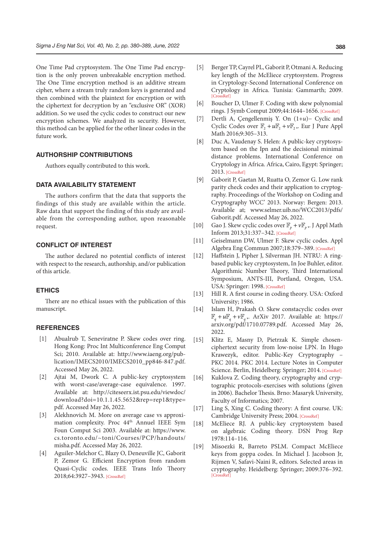One Time Pad cryptosystem. The One Time Pad encryption is the only proven unbreakable encryption method. The One Time encryption method is an additive stream cipher, where a stream truly random keys is generated and then combined with the plaintext for encryption or with the ciphertext for decryption by an "exclusive OR" (XOR) addition. So we used the cyclic codes to construct our new encryption schemes. We analyzed its security. However, this method can be applied for the other linear codes in the future work.

### **AUTHORSHIP CONTRIBUTIONS**

Authors equally contributed to this work.

# **DATA AVAILABILITY STATEMENT**

The authors confirm that the data that supports the findings of this study are available within the article. Raw data that support the finding of this study are available from the corresponding author, upon reasonable request.

# **CONFLICT OF INTEREST**

The author declared no potential conflicts of interest with respect to the research, authorship, and/or publication of this article.

# **ETHICS**

There are no ethical issues with the publication of this manuscript.

# **REFERENCES**

- [1] Abualrub T, Seneviratne P. Skew codes over ring. Hong Kong: Proc Int Multiconference Eng Comput Sci; 2010. Available at: http://www.iaeng.org/publication/IMECS2010/IMECS2010\_pp846-847.pdf. Accessed May 26, 2022.
- [2] Ajtai M, Dwork C. A public-key cryptosystem with worst-case/average-case equivalence. 1997. Available at: http://citeseerx.ist.psu.edu/viewdoc/ download?doi=10.1.1.45.5652&rep=rep1&type= pdf. Accessed May 26, 2022.
- [3] Alekhnovich M. More on average case vs approximation complexity. Proc 44<sup>th</sup> Annuel IEEE Sym Foun Comput Sci 2003. Available at: https://www. cs.toronto.edu/~toni/Courses/PCP/handouts/ misha.pdf. Accessed May 26, 2022.
- [4] Aguiler-Melchor C, Blazy O, Deneuville JC, Gaborit P, Zemor G. Efficient Encryption from random Quasi-Cyclic codes. IEEE Trans Info Theory 2018;64:3927–3943. [[CrossRef\]](https://doi.org/10.1109/TIT.2018.2804444)
- [5] Berger TP, Cayrel PL, Gaborit P, Otmani A. Reducing key length of the McEliece cryptosystem. Progress in Cryptology-Second International Conference on Cryptology in Africa. Tunisia: Gammarth; 2009. [\[CrossRef\]](https://doi.org/10.1007/978-3-642-02384-2_6)
- [6] Boucher D, Ulmer F. Coding with skew polynomial rings. J Symb Comput 2009;44:1644–1656. [\[CrossRef\]](https://doi.org/10.1016/j.jsc.2007.11.008)
- [7] Dertli A, Çengellenmiş Y. On (1+*u*)− Cyclic and Cyclic Codes over  $\mathbb{F}$ , +  $u\mathbb{F}$ , +  $v\mathbb{F}$ , Eur J Pure Appl Math 2016;9:305–313.
- [8] Duc A, Vaudenay S. Helen: A public-key cryptosystem based on the Ipn and the decisional minimal distance problems. International Conference on Cryptology in Africa. Africa, Cairo, Egypt: Springer; 2013[. \[CrossRef\]](https://doi.org/10.1007/978-3-642-38553-7_6)
- [9] Gaborit P, Gaetan M, Ruatta O, Zemor G. Low rank parity check codes and their application to cryptography. Proceedings of the Workshop on Coding and Cryptography WCC' 2013. Norway: Bergen: 2013. Available at; www.selmer.uib.no/WCC2013/pdfs/ Gaborit.pdf. Accessed May 26, 2022.
- [10] Gao J. Skew cyclic codes over  $\mathbb{F}_p + v \mathbb{F}_p$ , J Appl Math Inform 2013;31:337–342[. \[CrossRef\]](https://doi.org/10.14317/jami.2013.337)
- [11] Geiselmann DW, Ulmer F. Skew cyclic codes. Appl Algebra Eng Commun 2007;18:379–389. [\[CrossRef\]](https://doi.org/10.1007/s00200-007-0043-z)
- [12] Haffstein J, Pipher J, Silverman JH. NTRU: A ringbased public key cryptosystem, In Joe Buhler, editor. Algorithmic Number Theory, Third International Symposium, ANTS-III, Portland, Oregon, USA. USA: Springer: 1998. [\[CrossRef\]](https://doi.org/10.1007/BFb0054868)
- [13] Hill R. A first course in coding theory. USA: Oxford University; 1986.
- [14] Islam H, Prakash O. Skew constacyclic codes over  $\mathbb{F}_{a} + u \mathbb{F}_{a} + v \mathbb{F}_{a}$ ,. ArXiv 2017. Available at: https:// arxiv.org/pdf/1710.07789.pdf. Accessed May 26, 2022.
- [15] Klitz E, Masny D, Pietrzak K. Simple chosenciphertext security from low-noise LPN. In Hugo Krawezyk, editor. Public-Key Cryptography – PKC 2014. PKC 2014. Lecture Notes in Computer Science. Berlin, Heidelberg: Springer; 2014. [\[CrossRef\]](https://doi.org/10.1007/978-3-642-54631-0_1)
- [16] Kuklova Z. Coding theory, cryptography and cryptographic protocols-exercises with solutions (given in 2006). Bachelor Thesis. Brno: Masaryk University, Faculty of Informatics; 2007.
- [17] Ling S, Xing C. Coding theory: A first course. UK: Cambridge University Press; 2004[. \[CrossRef\]](https://doi.org/10.1017/CBO9780511755279)
- [18] McEliece RJ. A public-key cryptosystem based on algebraic Coding theory. DSN Prog Rep 1978:114–116.
- [19] Misoezki R, Barreto PSLM. Compact McEliece keys from goppa codes. In Michael J. Jacobson Jr, Rijmen V, Safavi-Naini R, editors. Selected areas in [cryptograp](https://doi.org/10.1007/978-3-642-05445-7_24)hy. Heidelberg: Springer; 2009:376–392. [CrossRef]